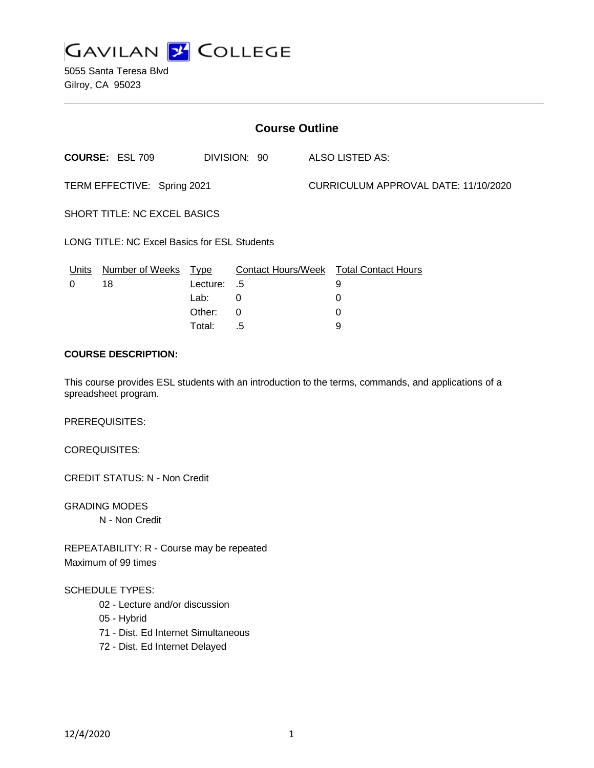

5055 Santa Teresa Blvd Gilroy, CA 95023

| <b>Course Outline</b>                        |                        |                                           |                                |                                      |                                                       |
|----------------------------------------------|------------------------|-------------------------------------------|--------------------------------|--------------------------------------|-------------------------------------------------------|
|                                              | <b>COURSE: ESL 709</b> |                                           | DIVISION: 90                   |                                      | ALSO LISTED AS:                                       |
| TERM EFFECTIVE: Spring 2021                  |                        |                                           |                                | CURRICULUM APPROVAL DATE: 11/10/2020 |                                                       |
| SHORT TITLE: NC EXCEL BASICS                 |                        |                                           |                                |                                      |                                                       |
| LONG TITLE: NC Excel Basics for ESL Students |                        |                                           |                                |                                      |                                                       |
| Units<br>0                                   | Number of Weeks<br>18  | <b>Type</b><br>Lecture:<br>Lab:<br>Other: | .5<br>$\Omega$<br>$\mathbf{0}$ |                                      | Contact Hours/Week Total Contact Hours<br>9<br>0<br>0 |
|                                              |                        | Total:                                    | .5                             |                                      | 9                                                     |

# **COURSE DESCRIPTION:**

This course provides ESL students with an introduction to the terms, commands, and applications of a spreadsheet program.

PREREQUISITES:

COREQUISITES:

CREDIT STATUS: N - Non Credit

GRADING MODES N - Non Credit

REPEATABILITY: R - Course may be repeated Maximum of 99 times

#### SCHEDULE TYPES:

- 02 Lecture and/or discussion
- 05 Hybrid
- 71 Dist. Ed Internet Simultaneous
- 72 Dist. Ed Internet Delayed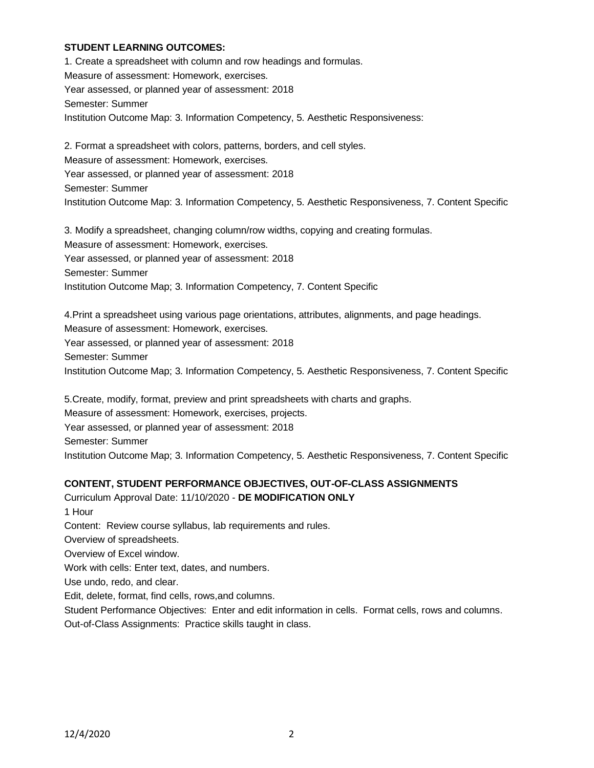### **STUDENT LEARNING OUTCOMES:**

1. Create a spreadsheet with column and row headings and formulas. Measure of assessment: Homework, exercises. Year assessed, or planned year of assessment: 2018 Semester: Summer Institution Outcome Map: 3. Information Competency, 5. Aesthetic Responsiveness:

2. Format a spreadsheet with colors, patterns, borders, and cell styles. Measure of assessment: Homework, exercises. Year assessed, or planned year of assessment: 2018 Semester: Summer Institution Outcome Map: 3. Information Competency, 5. Aesthetic Responsiveness, 7. Content Specific

3. Modify a spreadsheet, changing column/row widths, copying and creating formulas. Measure of assessment: Homework, exercises. Year assessed, or planned year of assessment: 2018 Semester: Summer Institution Outcome Map; 3. Information Competency, 7. Content Specific

4.Print a spreadsheet using various page orientations, attributes, alignments, and page headings. Measure of assessment: Homework, exercises. Year assessed, or planned year of assessment: 2018 Semester: Summer Institution Outcome Map; 3. Information Competency, 5. Aesthetic Responsiveness, 7. Content Specific

5.Create, modify, format, preview and print spreadsheets with charts and graphs. Measure of assessment: Homework, exercises, projects. Year assessed, or planned year of assessment: 2018 Semester: Summer Institution Outcome Map; 3. Information Competency, 5. Aesthetic Responsiveness, 7. Content Specific

### **CONTENT, STUDENT PERFORMANCE OBJECTIVES, OUT-OF-CLASS ASSIGNMENTS**

Curriculum Approval Date: 11/10/2020 - **DE MODIFICATION ONLY** 1 Hour Content: Review course syllabus, lab requirements and rules. Overview of spreadsheets. Overview of Excel window. Work with cells: Enter text, dates, and numbers. Use undo, redo, and clear. Edit, delete, format, find cells, rows,and columns. Student Performance Objectives: Enter and edit information in cells. Format cells, rows and columns. Out-of-Class Assignments: Practice skills taught in class.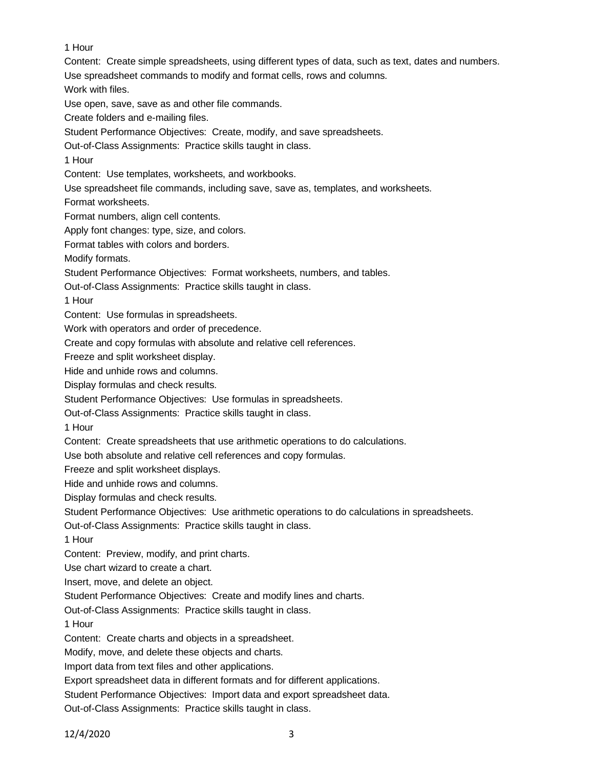1 Hour

Content: Create simple spreadsheets, using different types of data, such as text, dates and numbers. Use spreadsheet commands to modify and format cells, rows and columns. Work with files. Use open, save, save as and other file commands. Create folders and e-mailing files. Student Performance Objectives: Create, modify, and save spreadsheets. Out-of-Class Assignments: Practice skills taught in class. 1 Hour Content: Use templates, worksheets, and workbooks. Use spreadsheet file commands, including save, save as, templates, and worksheets. Format worksheets. Format numbers, align cell contents. Apply font changes: type, size, and colors. Format tables with colors and borders. Modify formats. Student Performance Objectives: Format worksheets, numbers, and tables. Out-of-Class Assignments: Practice skills taught in class. 1 Hour Content: Use formulas in spreadsheets. Work with operators and order of precedence. Create and copy formulas with absolute and relative cell references. Freeze and split worksheet display. Hide and unhide rows and columns. Display formulas and check results. Student Performance Objectives: Use formulas in spreadsheets. Out-of-Class Assignments: Practice skills taught in class. 1 Hour Content: Create spreadsheets that use arithmetic operations to do calculations. Use both absolute and relative cell references and copy formulas. Freeze and split worksheet displays. Hide and unhide rows and columns. Display formulas and check results. Student Performance Objectives: Use arithmetic operations to do calculations in spreadsheets. Out-of-Class Assignments: Practice skills taught in class. 1 Hour Content: Preview, modify, and print charts. Use chart wizard to create a chart. Insert, move, and delete an object. Student Performance Objectives: Create and modify lines and charts. Out-of-Class Assignments: Practice skills taught in class. 1 Hour Content: Create charts and objects in a spreadsheet. Modify, move, and delete these objects and charts. Import data from text files and other applications. Export spreadsheet data in different formats and for different applications. Student Performance Objectives: Import data and export spreadsheet data.

Out-of-Class Assignments: Practice skills taught in class.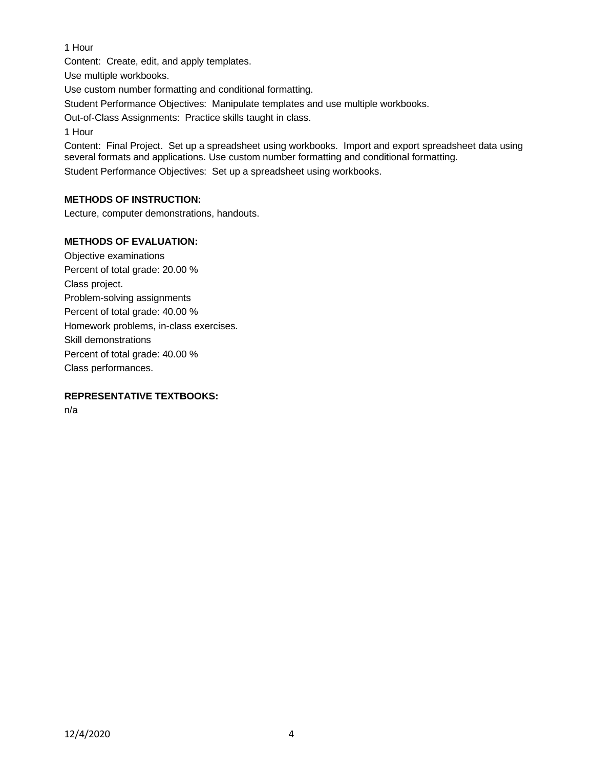# 1 Hour

Content: Create, edit, and apply templates.

Use multiple workbooks.

Use custom number formatting and conditional formatting.

Student Performance Objectives: Manipulate templates and use multiple workbooks.

Out-of-Class Assignments: Practice skills taught in class.

1 Hour

Content: Final Project. Set up a spreadsheet using workbooks. Import and export spreadsheet data using several formats and applications. Use custom number formatting and conditional formatting. Student Performance Objectives: Set up a spreadsheet using workbooks.

# **METHODS OF INSTRUCTION:**

Lecture, computer demonstrations, handouts.

# **METHODS OF EVALUATION:**

Objective examinations Percent of total grade: 20.00 % Class project. Problem-solving assignments Percent of total grade: 40.00 % Homework problems, in-class exercises. Skill demonstrations Percent of total grade: 40.00 % Class performances.

# **REPRESENTATIVE TEXTBOOKS:**

n/a